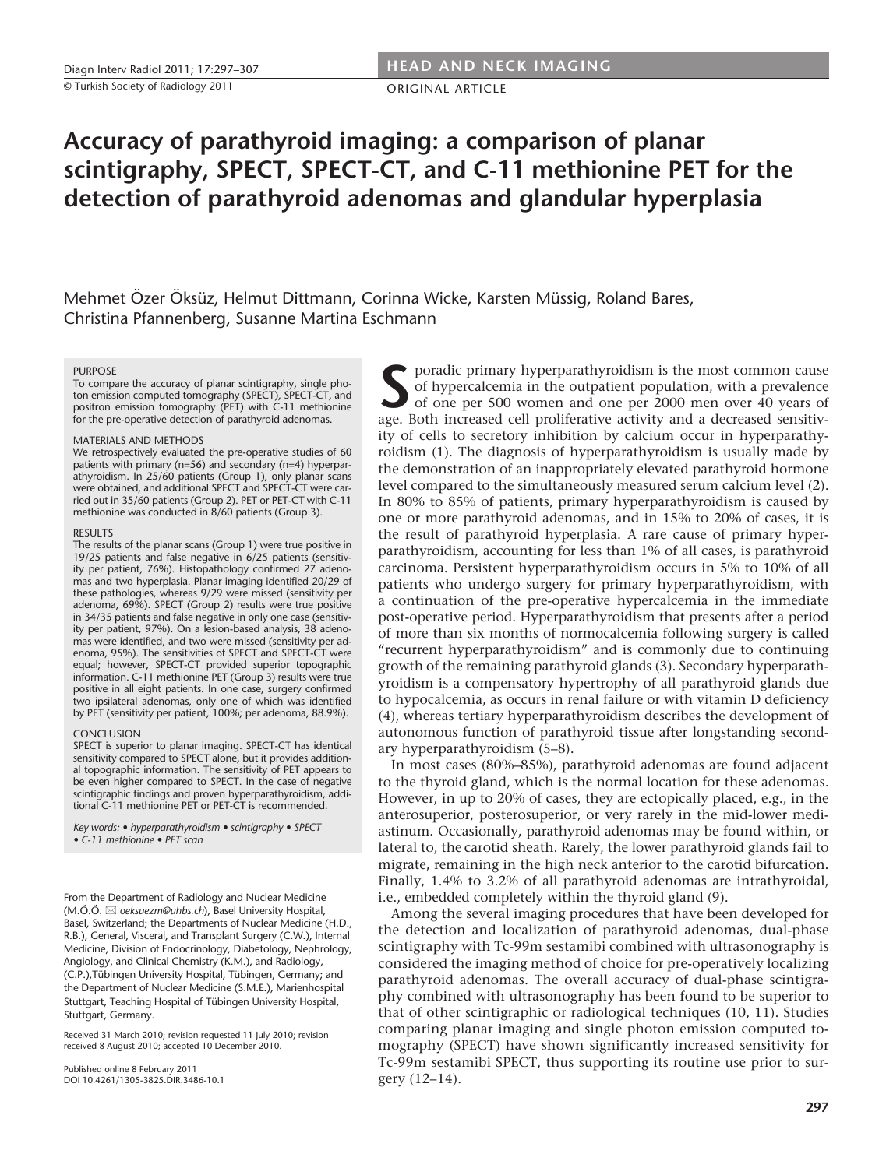ORIGINAL ARTICLE

# **Accuracy of parathyroid imaging: a comparison of planar scintigraphy, SPECT, SPECT-CT, and C-11 methionine PET for the detection of parathyroid adenomas and glandular hyperplasia**

Mehmet Özer Öksüz, Helmut Dittmann, Corinna Wicke, Karsten Müssig, Roland Bares, Christina Pfannenberg, Susanne Martina Eschmann

#### **PURPOSE**

To compare the accuracy of planar scintigraphy, single photon emission computed tomography (SPECT), SPECT-CT, and positron emission tomography (PET) with C-11 methionine for the pre-operative detection of parathyroid adenomas.

#### MATERIALS AND METHODS

We retrospectively evaluated the pre-operative studies of 60 patients with primary (n=56) and secondary (n=4) hyperparathyroidism. In 25/60 patients (Group 1), only planar scans were obtained, and additional SPECT and SPECT-CT were carried out in 35/60 patients (Group 2). PET or PET-CT with C-11 methionine was conducted in 8/60 patients (Group 3).

#### RESULTS

The results of the planar scans (Group 1) were true positive in 19/25 patients and false negative in 6/25 patients (sensitivity per patient, 76%). Histopathology confirmed 27 adenomas and two hyperplasia. Planar imaging identified 20/29 of these pathologies, whereas 9/29 were missed (sensitivity per adenoma, 69%). SPECT (Group 2) results were true positive in 34/35 patients and false negative in only one case (sensitivity per patient, 97%). On a lesion-based analysis, 38 adenomas were identified, and two were missed (sensitivity per adenoma, 95%). The sensitivities of SPECT and SPECT-CT were equal; however, SPECT-CT provided superior topographic information. C-11 methionine PET (Group 3) results were true positive in all eight patients. In one case, surgery confirmed two ipsilateral adenomas, only one of which was identified by PET (sensitivity per patient, 100%; per adenoma, 88.9%).

#### **CONCLUSION**

SPECT is superior to planar imaging. SPECT-CT has identical sensitivity compared to SPECT alone, but it provides additional topographic information. The sensitivity of PET appears to be even higher compared to SPECT. In the case of negative scintigraphic findings and proven hyperparathyroidism, additional C-11 methionine PET or PET-CT is recommended.

*Key words: • hyperparathyroidism • scintigraphy • SPECT • C-11 methionine • PET scan*

From the Department of Radiology and Nuclear Medicine (M.Ö.Ö.  *oeksuezm@uhbs.ch*), Basel University Hospital, Basel, Switzerland; the Departments of Nuclear Medicine (H.D., R.B.), General, Visceral, and Transplant Surgery (C.W.), Internal Medicine, Division of Endocrinology, Diabetology, Nephrology, Angiology, and Clinical Chemistry (K.M.), and Radiology, (C.P.),Tübingen University Hospital, Tübingen, Germany; and the Department of Nuclear Medicine (S.M.E.), Marienhospital Stuttgart, Teaching Hospital of Tübingen University Hospital, Stuttgart, Germany.

Received 31 March 2010; revision requested 11 July 2010; revision received 8 August 2010; accepted 10 December 2010.

Published online 8 February 2011 DOI 10.4261/1305-3825.DIR.3486-10.1

Superparathyroidism is the most common cause<br>of hypercalcemia in the outpatient population, with a prevalence<br>of one per 500 women and one per 2000 men over 40 years of<br>age. Both increased cell proliferative activity and a of hypercalcemia in the outpatient population, with a prevalence of one per 500 women and one per 2000 men over 40 years of age. Both increased cell proliferative activity and a decreased sensitivity of cells to secretory inhibition by calcium occur in hyperparathyroidism (1). The diagnosis of hyperparathyroidism is usually made by the demonstration of an inappropriately elevated parathyroid hormone level compared to the simultaneously measured serum calcium level (2). In 80% to 85% of patients, primary hyperparathyroidism is caused by one or more parathyroid adenomas, and in 15% to 20% of cases, it is the result of parathyroid hyperplasia. A rare cause of primary hyperparathyroidism, accounting for less than 1% of all cases, is parathyroid carcinoma. Persistent hyperparathyroidism occurs in 5% to 10% of all patients who undergo surgery for primary hyperparathyroidism, with a continuation of the pre-operative hypercalcemia in the immediate post-operative period. Hyperparathyroidism that presents after a period of more than six months of normocalcemia following surgery is called "recurrent hyperparathyroidism" and is commonly due to continuing growth of the remaining parathyroid glands (3). Secondary hyperparathyroidism is a compensatory hypertrophy of all parathyroid glands due to hypocalcemia, as occurs in renal failure or with vitamin D deficiency (4), whereas tertiary hyperparathyroidism describes the development of autonomous function of parathyroid tissue after longstanding secondary hyperparathyroidism (5–8).

In most cases (80%–85%), parathyroid adenomas are found adjacent to the thyroid gland, which is the normal location for these adenomas. However, in up to 20% of cases, they are ectopically placed, e.g., in the anterosuperior, posterosuperior, or very rarely in the mid-lower mediastinum. Occasionally, parathyroid adenomas may be found within, or lateral to, the carotid sheath. Rarely, the lower parathyroid glands fail to migrate, remaining in the high neck anterior to the carotid bifurcation. Finally, 1.4% to 3.2% of all parathyroid adenomas are intrathyroidal, i.e., embedded completely within the thyroid gland (9).

Among the several imaging procedures that have been developed for the detection and localization of parathyroid adenomas, dual-phase scintigraphy with Tc-99m sestamibi combined with ultrasonography is considered the imaging method of choice for pre-operatively localizing parathyroid adenomas. The overall accuracy of dual-phase scintigraphy combined with ultrasonography has been found to be superior to that of other scintigraphic or radiological techniques (10, 11). Studies comparing planar imaging and single photon emission computed tomography (SPECT) have shown significantly increased sensitivity for Tc-99m sestamibi SPECT, thus supporting its routine use prior to surgery (12–14).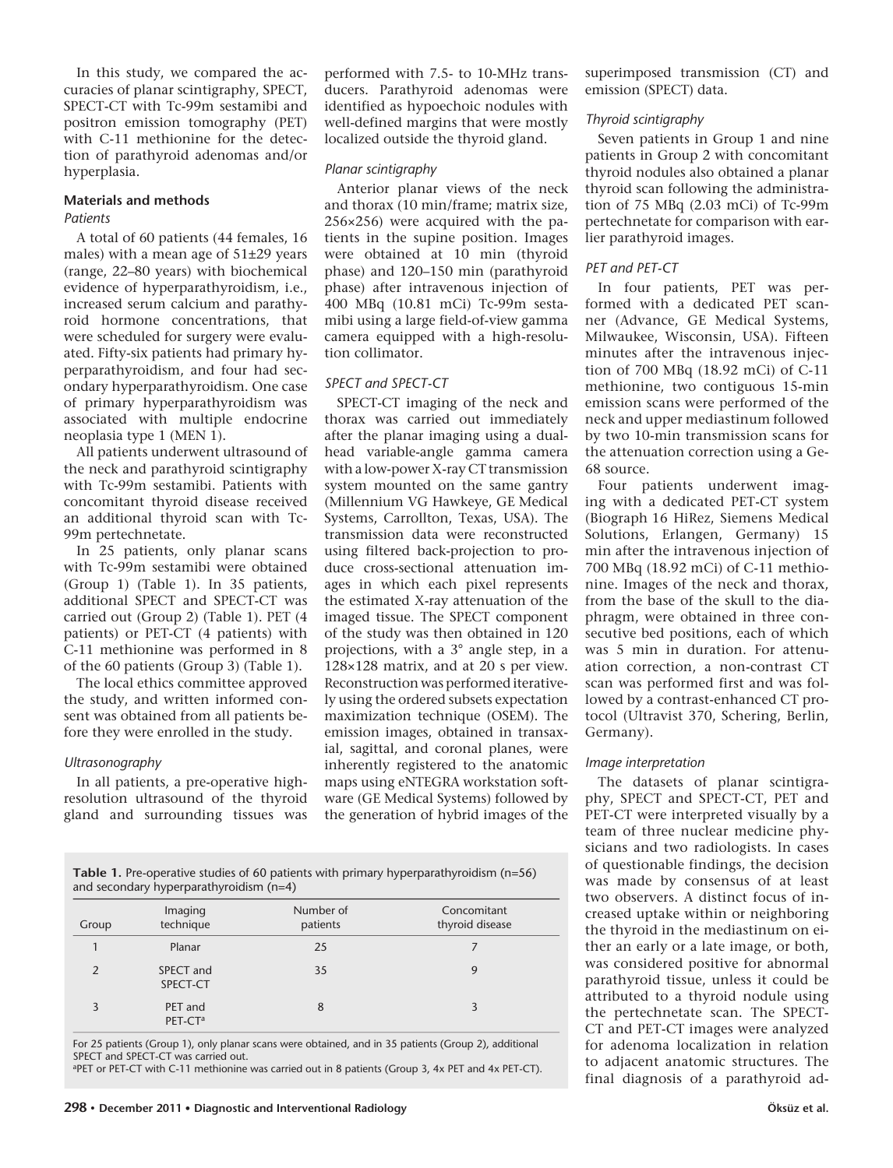In this study, we compared the accuracies of planar scintigraphy, SPECT, SPECT-CT with Tc-99m sestamibi and positron emission tomography (PET) with C-11 methionine for the detection of parathyroid adenomas and/or hyperplasia.

## **Materials and methods**

## *Patients*

A total of 60 patients (44 females, 16 males) with a mean age of 51±29 years (range, 22–80 years) with biochemical evidence of hyperparathyroidism, i.e., increased serum calcium and parathyroid hormone concentrations, that were scheduled for surgery were evaluated. Fifty-six patients had primary hyperparathyroidism, and four had secondary hyperparathyroidism. One case of primary hyperparathyroidism was associated with multiple endocrine neoplasia type 1 (MEN 1).

All patients underwent ultrasound of the neck and parathyroid scintigraphy with Tc-99m sestamibi. Patients with concomitant thyroid disease received an additional thyroid scan with Tc-99m pertechnetate.

In 25 patients, only planar scans with Tc-99m sestamibi were obtained (Group 1) (Table 1). In 35 patients, additional SPECT and SPECT-CT was carried out (Group 2) (Table 1). PET (4 patients) or PET-CT (4 patients) with C-11 methionine was performed in 8 of the 60 patients (Group 3) (Table 1).

The local ethics committee approved the study, and written informed consent was obtained from all patients before they were enrolled in the study.

#### *Ultrasonography*

In all patients, a pre-operative highresolution ultrasound of the thyroid gland and surrounding tissues was performed with 7.5- to 10-MHz transducers. Parathyroid adenomas were identified as hypoechoic nodules with well-defined margins that were mostly localized outside the thyroid gland.

## *Planar scintigraphy*

Anterior planar views of the neck and thorax (10 min/frame; matrix size, 256×256) were acquired with the patients in the supine position. Images were obtained at 10 min (thyroid phase) and 120–150 min (parathyroid phase) after intravenous injection of 400 MBq (10.81 mCi) Tc-99m sestamibi using a large field-of-view gamma camera equipped with a high-resolution collimator.

# *SPECT and SPECT-CT*

SPECT-CT imaging of the neck and thorax was carried out immediately after the planar imaging using a dualhead variable-angle gamma camera with a low-power X-ray CT transmission system mounted on the same gantry (Millennium VG Hawkeye, GE Medical Systems, Carrollton, Texas, USA). The transmission data were reconstructed using filtered back-projection to produce cross-sectional attenuation images in which each pixel represents the estimated X-ray attenuation of the imaged tissue. The SPECT component of the study was then obtained in 120 projections, with a 3° angle step, in a 128×128 matrix, and at 20 s per view. Reconstruction was performed iteratively using the ordered subsets expectation maximization technique (OSEM). The emission images, obtained in transaxial, sagittal, and coronal planes, were inherently registered to the anatomic maps using eNTEGRA workstation software (GE Medical Systems) followed by the generation of hybrid images of the

**Table 1.** Pre-operative studies of 60 patients with primary hyperparathyroidism (n=56) and secondary hyperparathyroidism (n=4)

| Group | Imaging<br>technique           | Number of<br>patients | Concomitant<br>thyroid disease |
|-------|--------------------------------|-----------------------|--------------------------------|
|       | Planar                         | 25                    |                                |
|       | SPECT and<br>SPECT-CT          | 35                    | 9                              |
|       | PET and<br>PET-CT <sup>a</sup> | 8                     | 3                              |

For 25 patients (Group 1), only planar scans were obtained, and in 35 patients (Group 2), additional SPECT and SPECT-CT was carried out.

aPET or PET-CT with C-11 methionine was carried out in 8 patients (Group 3, 4x PET and 4x PET-CT).

superimposed transmission (CT) and emission (SPECT) data.

## *Thyroid scintigraphy*

Seven patients in Group 1 and nine patients in Group 2 with concomitant thyroid nodules also obtained a planar thyroid scan following the administration of 75 MBq (2.03 mCi) of Tc-99m pertechnetate for comparison with earlier parathyroid images.

## *PET and PET-CT*

In four patients, PET was performed with a dedicated PET scanner (Advance, GE Medical Systems, Milwaukee, Wisconsin, USA). Fifteen minutes after the intravenous injection of 700 MBq (18.92 mCi) of C-11 methionine, two contiguous 15-min emission scans were performed of the neck and upper mediastinum followed by two 10-min transmission scans for the attenuation correction using a Ge-68 source.

Four patients underwent imaging with a dedicated PET-CT system (Biograph 16 HiRez, Siemens Medical Solutions, Erlangen, Germany) 15 min after the intravenous injection of 700 MBq (18.92 mCi) of C-11 methionine. Images of the neck and thorax, from the base of the skull to the diaphragm, were obtained in three consecutive bed positions, each of which was 5 min in duration. For attenuation correction, a non-contrast CT scan was performed first and was followed by a contrast-enhanced CT protocol (Ultravist 370, Schering, Berlin, Germany).

#### *Image interpretation*

The datasets of planar scintigraphy, SPECT and SPECT-CT, PET and PET-CT were interpreted visually by a team of three nuclear medicine physicians and two radiologists. In cases of questionable findings, the decision was made by consensus of at least two observers. A distinct focus of increased uptake within or neighboring the thyroid in the mediastinum on either an early or a late image, or both, was considered positive for abnormal parathyroid tissue, unless it could be attributed to a thyroid nodule using the pertechnetate scan. The SPECT-CT and PET-CT images were analyzed for adenoma localization in relation to adjacent anatomic structures. The final diagnosis of a parathyroid ad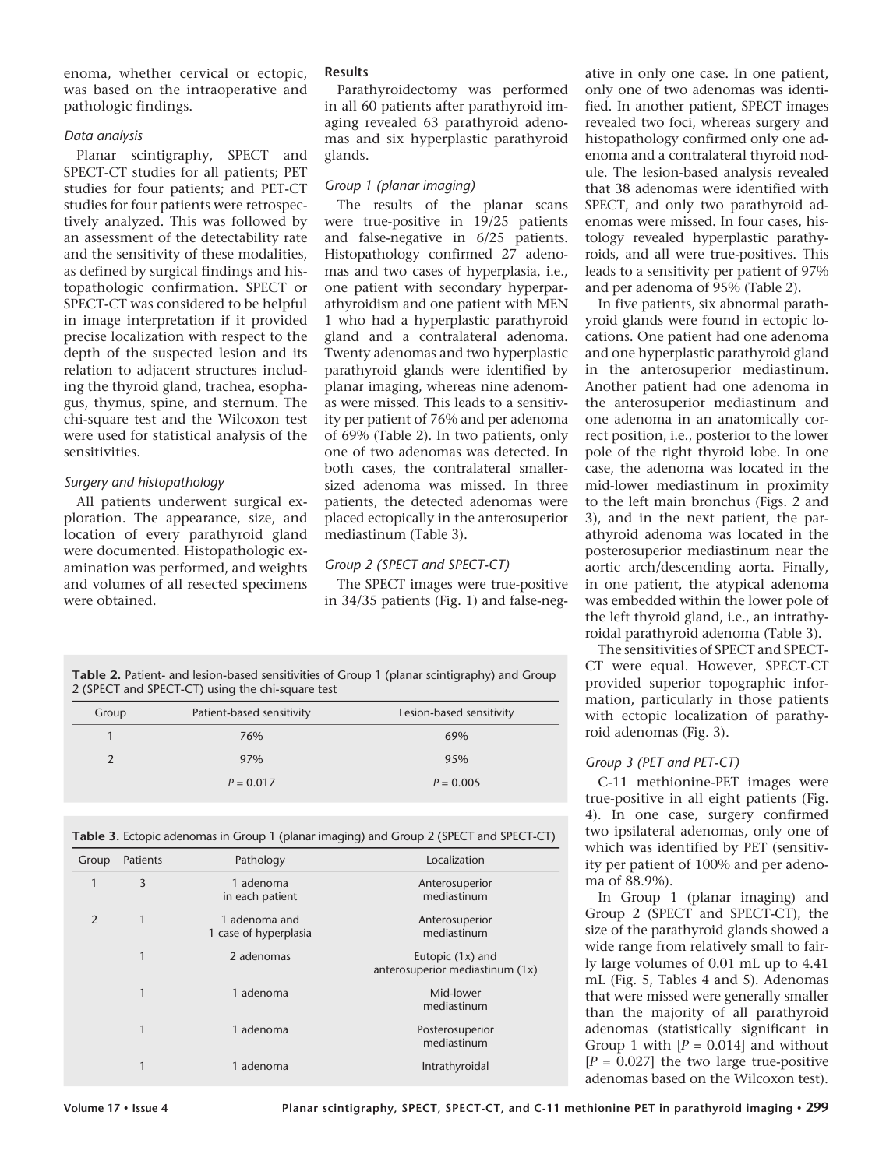enoma, whether cervical or ectopic, was based on the intraoperative and pathologic findings.

## *Data analysis*

Planar scintigraphy, SPECT and SPECT-CT studies for all patients; PET studies for four patients; and PET-CT studies for four patients were retrospectively analyzed. This was followed by an assessment of the detectability rate and the sensitivity of these modalities, as defined by surgical findings and histopathologic confirmation. SPECT or SPECT-CT was considered to be helpful in image interpretation if it provided precise localization with respect to the depth of the suspected lesion and its relation to adjacent structures including the thyroid gland, trachea, esophagus, thymus, spine, and sternum. The chi-square test and the Wilcoxon test were used for statistical analysis of the sensitivities.

# *Surgery and histopathology*

All patients underwent surgical exploration. The appearance, size, and location of every parathyroid gland were documented. Histopathologic examination was performed, and weights and volumes of all resected specimens were obtained.

# **Results**

Parathyroidectomy was performed in all 60 patients after parathyroid imaging revealed 63 parathyroid adenomas and six hyperplastic parathyroid glands.

## *Group 1 (planar imaging)*

The results of the planar scans were true-positive in 19/25 patients and false-negative in 6/25 patients. Histopathology confirmed 27 adenomas and two cases of hyperplasia, i.e., one patient with secondary hyperparathyroidism and one patient with MEN 1 who had a hyperplastic parathyroid gland and a contralateral adenoma. Twenty adenomas and two hyperplastic parathyroid glands were identified by planar imaging, whereas nine adenomas were missed. This leads to a sensitivity per patient of 76% and per adenoma of 69% (Table 2). In two patients, only one of two adenomas was detected. In both cases, the contralateral smallersized adenoma was missed. In three patients, the detected adenomas were placed ectopically in the anterosuperior mediastinum (Table 3).

# *Group 2 (SPECT and SPECT-CT)*

The SPECT images were true-positive in 34/35 patients (Fig. 1) and false-neg-

**Table 2.** Patient- and lesion-based sensitivities of Group 1 (planar scintigraphy) and Group 2 (SPECT and SPECT-CT) using the chi-square test

| Group | Patient-based sensitivity | Lesion-based sensitivity |
|-------|---------------------------|--------------------------|
|       | 76%                       | 69%                      |
|       | 97%                       | 95%                      |
|       | $P = 0.017$               | $P = 0.005$              |

|  |  |  |  | Table 3. Ectopic adenomas in Group 1 (planar imaging) and Group 2 (SPECT and SPECT-CT) |
|--|--|--|--|----------------------------------------------------------------------------------------|
|  |  |  |  |                                                                                        |

| Group          | Patients     | Pathology                              | Localization                                          |
|----------------|--------------|----------------------------------------|-------------------------------------------------------|
|                | 3            | 1 adenoma<br>in each patient           | Anterosuperior<br>mediastinum                         |
| $\overline{2}$ | $\mathbf{1}$ | 1 adenoma and<br>1 case of hyperplasia | Anterosuperior<br>mediastinum                         |
|                | 1            | 2 adenomas                             | Eutopic $(1x)$ and<br>anterosuperior mediastinum (1x) |
| $\mathbf{1}$   |              | 1 adenoma                              | Mid-lower<br>mediastinum                              |
|                | $\mathbf{1}$ | 1 adenoma                              | Posterosuperior<br>mediastinum                        |
|                |              | 1 adenoma                              | Intrathyroidal                                        |

ative in only one case. In one patient, only one of two adenomas was identified. In another patient, SPECT images revealed two foci, whereas surgery and histopathology confirmed only one adenoma and a contralateral thyroid nodule. The lesion-based analysis revealed that 38 adenomas were identified with SPECT, and only two parathyroid adenomas were missed. In four cases, histology revealed hyperplastic parathyroids, and all were true-positives. This leads to a sensitivity per patient of 97% and per adenoma of 95% (Table 2).

In five patients, six abnormal parathyroid glands were found in ectopic locations. One patient had one adenoma and one hyperplastic parathyroid gland in the anterosuperior mediastinum. Another patient had one adenoma in the anterosuperior mediastinum and one adenoma in an anatomically correct position, i.e., posterior to the lower pole of the right thyroid lobe. In one case, the adenoma was located in the mid-lower mediastinum in proximity to the left main bronchus (Figs. 2 and 3), and in the next patient, the parathyroid adenoma was located in the posterosuperior mediastinum near the aortic arch/descending aorta. Finally, in one patient, the atypical adenoma was embedded within the lower pole of the left thyroid gland, i.e., an intrathyroidal parathyroid adenoma (Table 3).

The sensitivities of SPECT and SPECT-CT were equal. However, SPECT-CT provided superior topographic information, particularly in those patients with ectopic localization of parathyroid adenomas (Fig. 3).

# *Group 3 (PET and PET-CT)*

C-11 methionine-PET images were true-positive in all eight patients (Fig. 4). In one case, surgery confirmed two ipsilateral adenomas, only one of which was identified by PET (sensitivity per patient of 100% and per adenoma of 88.9%).

In Group 1 (planar imaging) and Group 2 (SPECT and SPECT-CT), the size of the parathyroid glands showed a wide range from relatively small to fairly large volumes of 0.01 mL up to 4.41 mL (Fig. 5, Tables 4 and 5). Adenomas that were missed were generally smaller than the majority of all parathyroid adenomas (statistically significant in Group 1 with  $[P = 0.014]$  and without  $[P = 0.027]$  the two large true-positive adenomas based on the Wilcoxon test).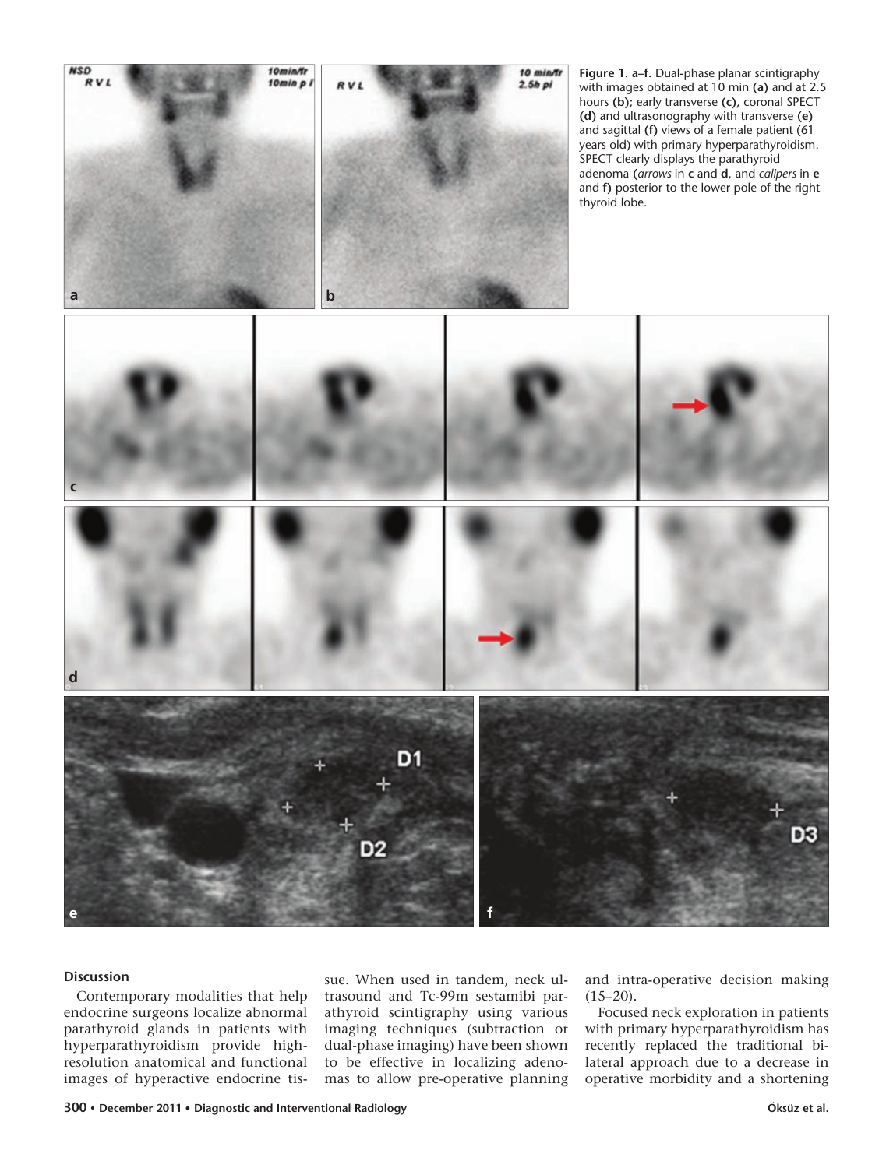

**Figure 1. a–f.** Dual-phase planar scintigraphy with images obtained at 10 min **(a)** and at 2.5 hours **(b)**; early transverse **(c)**, coronal SPECT **(d)** and ultrasonography with transverse **(e)** and sagittal **(f)** views of a female patient (61 years old) with primary hyperparathyroidism. SPECT clearly displays the parathyroid adenoma **(***arrows* in **c** and **d**, and *calipers* in **e** and **f)** posterior to the lower pole of the right thyroid lobe.



## **Discussion**

Contemporary modalities that help endocrine surgeons localize abnormal parathyroid glands in patients with hyperparathyroidism provide highresolution anatomical and functional images of hyperactive endocrine tissue. When used in tandem, neck ultrasound and Tc-99m sestamibi parathyroid scintigraphy using various imaging techniques (subtraction or dual-phase imaging) have been shown to be effective in localizing adenomas to allow pre-operative planning and intra-operative decision making  $(15-20)$ .

Focused neck exploration in patients with primary hyperparathyroidism has recently replaced the traditional bilateral approach due to a decrease in operative morbidity and a shortening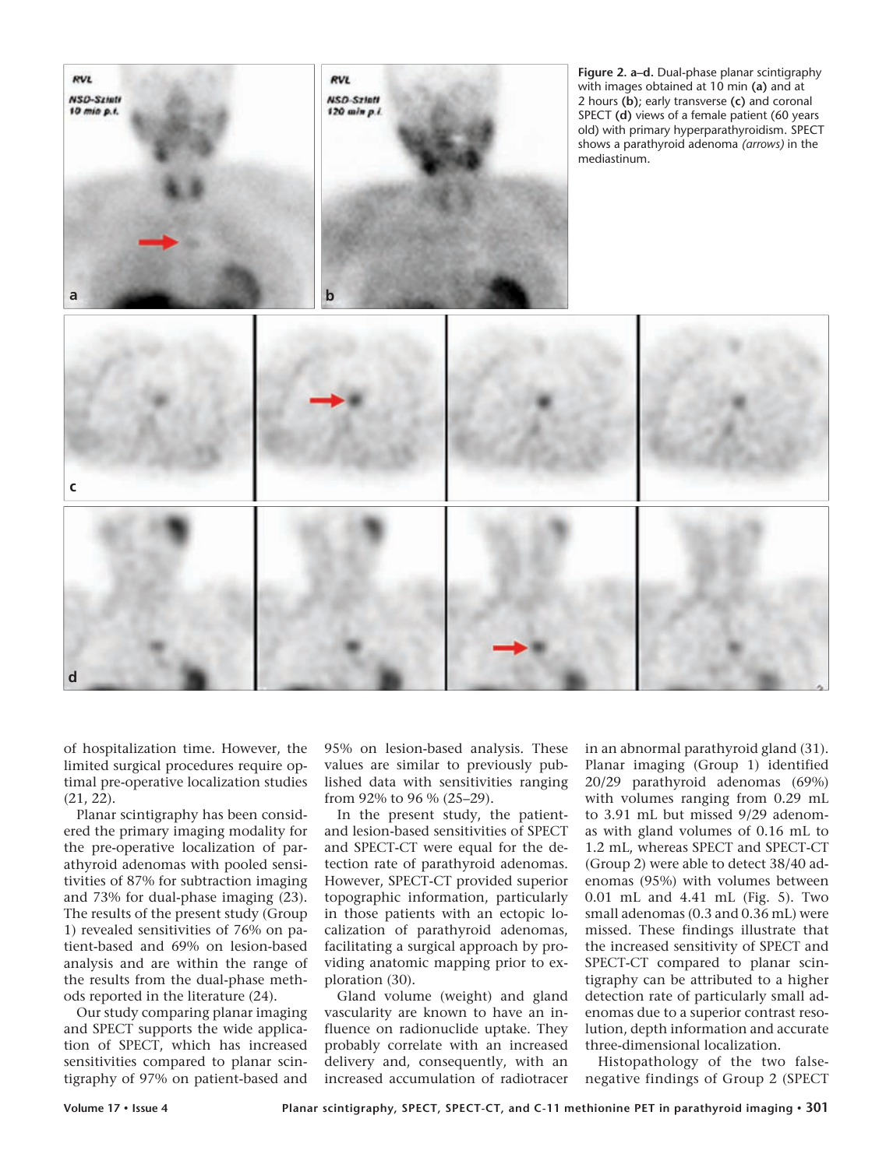

of hospitalization time. However, the limited surgical procedures require optimal pre-operative localization studies (21, 22).

Planar scintigraphy has been considered the primary imaging modality for the pre-operative localization of parathyroid adenomas with pooled sensitivities of 87% for subtraction imaging and 73% for dual-phase imaging (23). The results of the present study (Group 1) revealed sensitivities of 76% on patient-based and 69% on lesion-based analysis and are within the range of the results from the dual-phase methods reported in the literature (24).

Our study comparing planar imaging and SPECT supports the wide application of SPECT, which has increased sensitivities compared to planar scintigraphy of 97% on patient-based and 95% on lesion-based analysis. These values are similar to previously published data with sensitivities ranging from 92% to 96 % (25–29).

In the present study, the patientand lesion-based sensitivities of SPECT and SPECT-CT were equal for the detection rate of parathyroid adenomas. However, SPECT-CT provided superior topographic information, particularly in those patients with an ectopic localization of parathyroid adenomas, facilitating a surgical approach by providing anatomic mapping prior to exploration (30).

Gland volume (weight) and gland vascularity are known to have an influence on radionuclide uptake. They probably correlate with an increased delivery and, consequently, with an increased accumulation of radiotracer in an abnormal parathyroid gland (31). Planar imaging (Group 1) identified 20/29 parathyroid adenomas (69%) with volumes ranging from 0.29 mL to 3.91 mL but missed 9/29 adenomas with gland volumes of 0.16 mL to 1.2 mL, whereas SPECT and SPECT-CT (Group 2) were able to detect 38/40 adenomas (95%) with volumes between 0.01 mL and 4.41 mL (Fig. 5). Two small adenomas (0.3 and 0.36 mL) were missed. These findings illustrate that the increased sensitivity of SPECT and SPECT-CT compared to planar scintigraphy can be attributed to a higher detection rate of particularly small adenomas due to a superior contrast resolution, depth information and accurate three-dimensional localization.

Histopathology of the two falsenegative findings of Group 2 (SPECT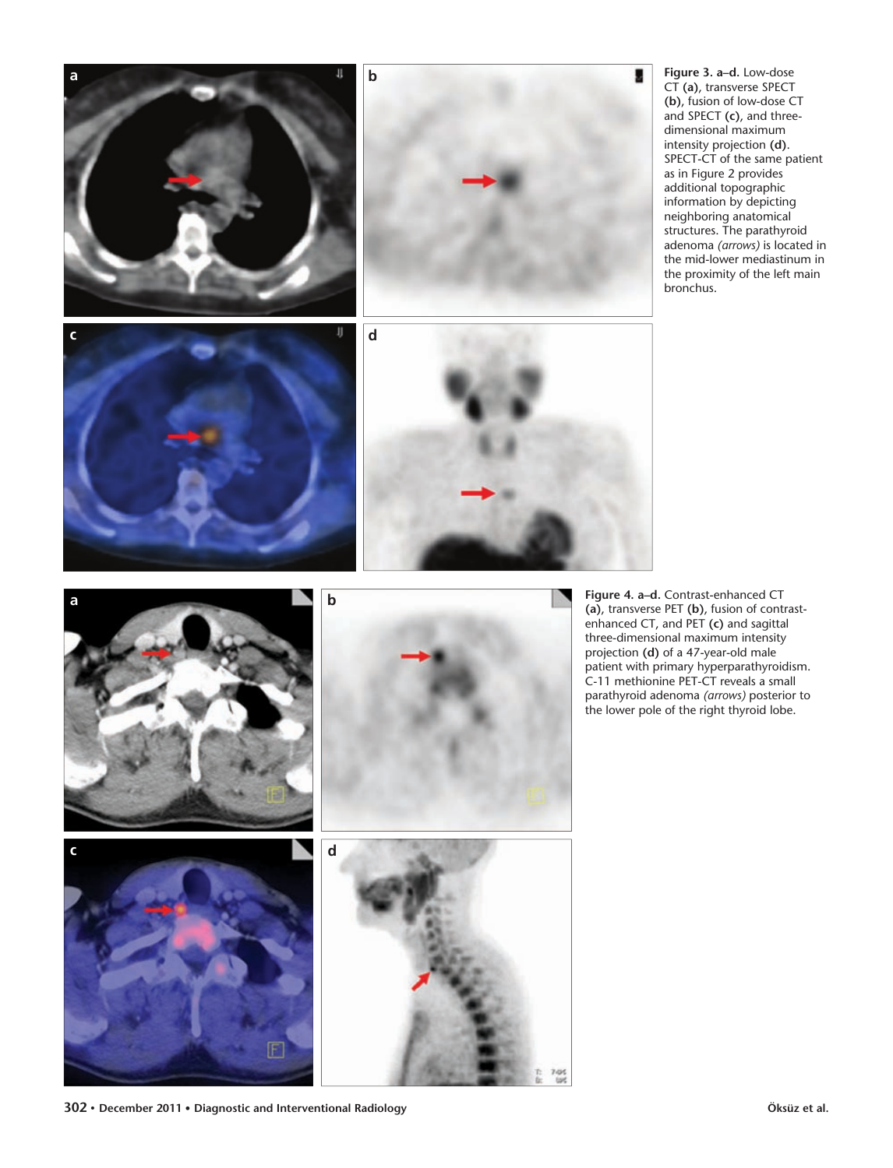

**302** • **December 2011** • **Diagnostic and Interventional Radiology Öksüz et al.**

**a b**

**Figure 3. a–d.** Low-dose CT **(a)**, transverse SPECT **(b)**, fusion of low-dose CT and SPECT **(c)**, and threedimensional maximum intensity projection **(d)**. SPECT-CT of the same patient as in Figure 2 provides additional topographic information by depicting neighboring anatomical structures. The parathyroid adenoma *(arrows)* is located in the mid-lower mediastinum in the proximity of the left main

g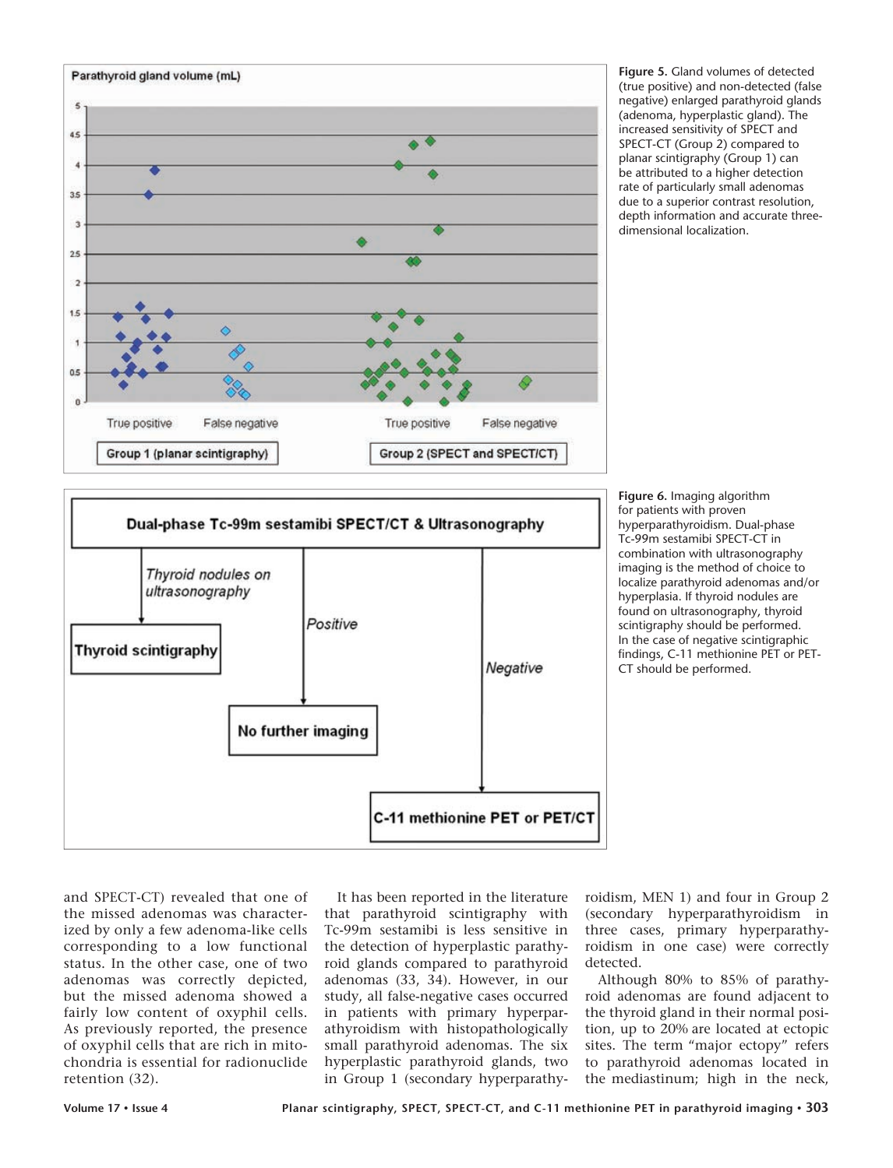

**Figure 5.** Gland volumes of detected (true positive) and non-detected (false negative) enlarged parathyroid glands (adenoma, hyperplastic gland). The increased sensitivity of SPECT and SPECT-CT (Group 2) compared to planar scintigraphy (Group 1) can be attributed to a higher detection rate of particularly small adenomas due to a superior contrast resolution, depth information and accurate threedimensional localization.



**Figure 6.** Imaging algorithm for patients with proven hyperparathyroidism. Dual-phase Tc-99m sestamibi SPECT-CT in combination with ultrasonography imaging is the method of choice to localize parathyroid adenomas and/or hyperplasia. If thyroid nodules are found on ultrasonography, thyroid scintigraphy should be performed. In the case of negative scintigraphic findings, C-11 methionine PET or PET-CT should be performed.

and SPECT-CT) revealed that one of the missed adenomas was characterized by only a few adenoma-like cells corresponding to a low functional status. In the other case, one of two adenomas was correctly depicted, but the missed adenoma showed a fairly low content of oxyphil cells. As previously reported, the presence of oxyphil cells that are rich in mitochondria is essential for radionuclide retention (32).

It has been reported in the literature that parathyroid scintigraphy with Tc-99m sestamibi is less sensitive in the detection of hyperplastic parathyroid glands compared to parathyroid adenomas (33, 34). However, in our study, all false-negative cases occurred in patients with primary hyperparathyroidism with histopathologically small parathyroid adenomas. The six hyperplastic parathyroid glands, two in Group 1 (secondary hyperparathyroidism, MEN 1) and four in Group 2 (secondary hyperparathyroidism in three cases, primary hyperparathyroidism in one case) were correctly detected.

Although 80% to 85% of parathyroid adenomas are found adjacent to the thyroid gland in their normal position, up to 20% are located at ectopic sites. The term "major ectopy" refers to parathyroid adenomas located in the mediastinum; high in the neck,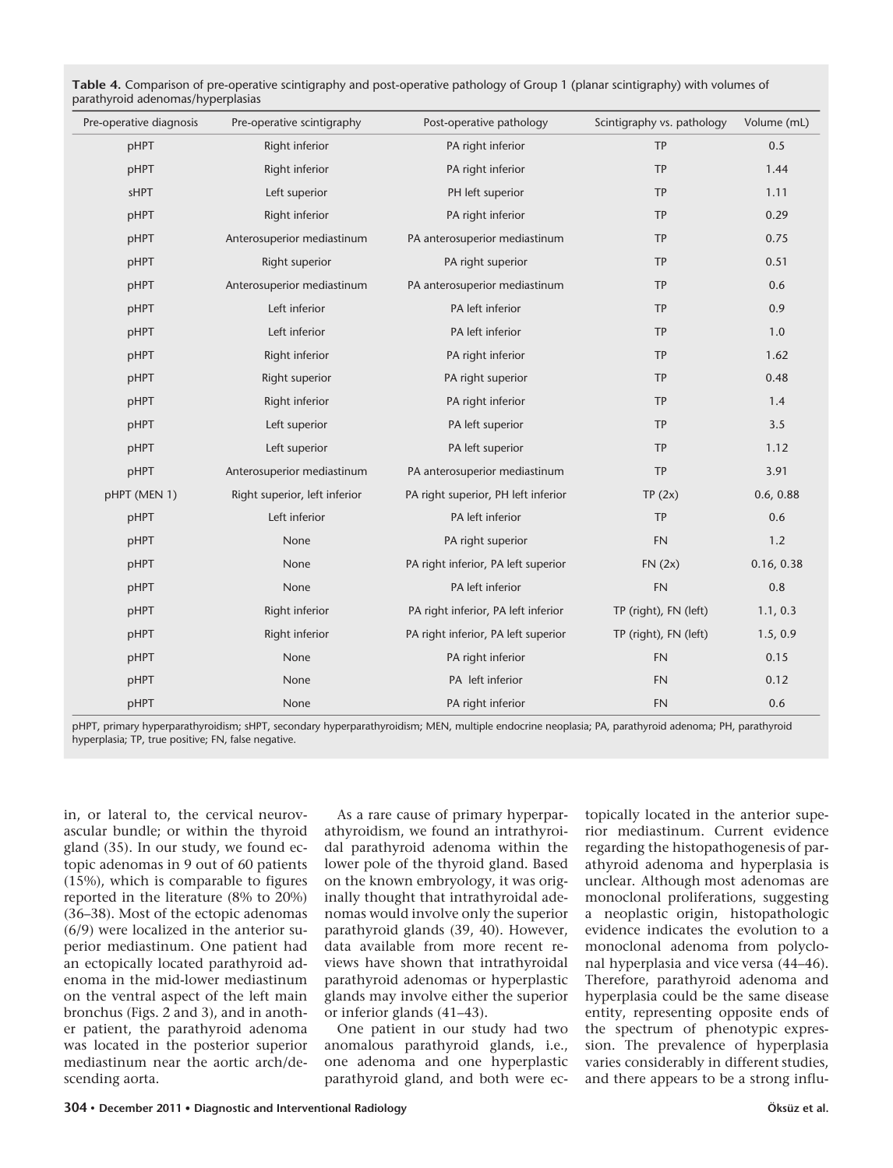| Pre-operative diagnosis | Pre-operative scintigraphy    | Post-operative pathology            | Scintigraphy vs. pathology | Volume (mL) |  |
|-------------------------|-------------------------------|-------------------------------------|----------------------------|-------------|--|
| pHPT                    | Right inferior                | PA right inferior                   | <b>TP</b>                  | 0.5         |  |
| pHPT                    | Right inferior                | PA right inferior                   | TP                         | 1.44        |  |
| sHPT                    | Left superior                 | PH left superior                    | TP                         | 1.11        |  |
| pHPT                    | Right inferior                | PA right inferior                   | <b>TP</b>                  | 0.29        |  |
| pHPT                    | Anterosuperior mediastinum    | PA anterosuperior mediastinum       | TP                         | 0.75        |  |
| pHPT                    | Right superior                | PA right superior                   | TP                         | 0.51        |  |
| pHPT                    | Anterosuperior mediastinum    | PA anterosuperior mediastinum       | <b>TP</b>                  | 0.6         |  |
| pHPT                    | Left inferior                 | PA left inferior                    | <b>TP</b>                  | 0.9         |  |
| pHPT                    | Left inferior                 | PA left inferior                    | TP                         | 1.0         |  |
| pHPT                    | Right inferior                | PA right inferior                   | <b>TP</b>                  | 1.62        |  |
| pHPT                    | Right superior                | PA right superior                   | TP                         | 0.48        |  |
| pHPT                    | Right inferior                | PA right inferior                   | TP                         | 1.4         |  |
| pHPT                    | Left superior                 | PA left superior                    | TP                         | 3.5         |  |
| pHPT                    | Left superior                 | PA left superior                    | <b>TP</b>                  | 1.12        |  |
| pHPT                    | Anterosuperior mediastinum    | PA anterosuperior mediastinum       | TP                         | 3.91        |  |
| pHPT (MEN 1)            | Right superior, left inferior | PA right superior, PH left inferior | TP(2x)                     | 0.6, 0.88   |  |
| pHPT                    | Left inferior                 | PA left inferior                    | <b>TP</b>                  | 0.6         |  |
| pHPT                    | None                          | PA right superior                   | <b>FN</b>                  | 1.2         |  |
| pHPT                    | None                          | PA right inferior, PA left superior | FN(2x)                     | 0.16, 0.38  |  |
| pHPT                    | None                          | PA left inferior                    | <b>FN</b>                  | 0.8         |  |
| pHPT                    | Right inferior                | PA right inferior, PA left inferior | TP (right), FN (left)      | 1.1, 0.3    |  |
| pHPT                    | Right inferior                | PA right inferior, PA left superior | TP (right), FN (left)      | 1.5, 0.9    |  |
| pHPT                    | None                          | PA right inferior                   | <b>FN</b>                  | 0.15        |  |
| pHPT                    | None                          | PA left inferior                    | <b>FN</b>                  | 0.12        |  |
| pHPT                    | None                          | PA right inferior                   | <b>FN</b>                  | 0.6         |  |

**Table 4.** Comparison of pre-operative scintigraphy and post-operative pathology of Group 1 (planar scintigraphy) with volumes of parathyroid adenomas/hyperplasias

pHPT, primary hyperparathyroidism; sHPT, secondary hyperparathyroidism; MEN, multiple endocrine neoplasia; PA, parathyroid adenoma; PH, parathyroid hyperplasia; TP, true positive; FN, false negative.

in, or lateral to, the cervical neurovascular bundle; or within the thyroid gland (35). In our study, we found ectopic adenomas in 9 out of 60 patients (15%), which is comparable to figures reported in the literature (8% to 20%) (36–38). Most of the ectopic adenomas (6/9) were localized in the anterior superior mediastinum. One patient had an ectopically located parathyroid adenoma in the mid-lower mediastinum on the ventral aspect of the left main bronchus (Figs. 2 and 3), and in another patient, the parathyroid adenoma was located in the posterior superior mediastinum near the aortic arch/descending aorta.

As a rare cause of primary hyperparathyroidism, we found an intrathyroidal parathyroid adenoma within the lower pole of the thyroid gland. Based on the known embryology, it was originally thought that intrathyroidal adenomas would involve only the superior parathyroid glands (39, 40). However, data available from more recent reviews have shown that intrathyroidal parathyroid adenomas or hyperplastic glands may involve either the superior or inferior glands (41–43).

One patient in our study had two anomalous parathyroid glands, i.e., one adenoma and one hyperplastic parathyroid gland, and both were ectopically located in the anterior superior mediastinum. Current evidence regarding the histopathogenesis of parathyroid adenoma and hyperplasia is unclear. Although most adenomas are monoclonal proliferations, suggesting a neoplastic origin, histopathologic evidence indicates the evolution to a monoclonal adenoma from polyclonal hyperplasia and vice versa (44–46). Therefore, parathyroid adenoma and hyperplasia could be the same disease entity, representing opposite ends of the spectrum of phenotypic expression. The prevalence of hyperplasia varies considerably in different studies, and there appears to be a strong influ-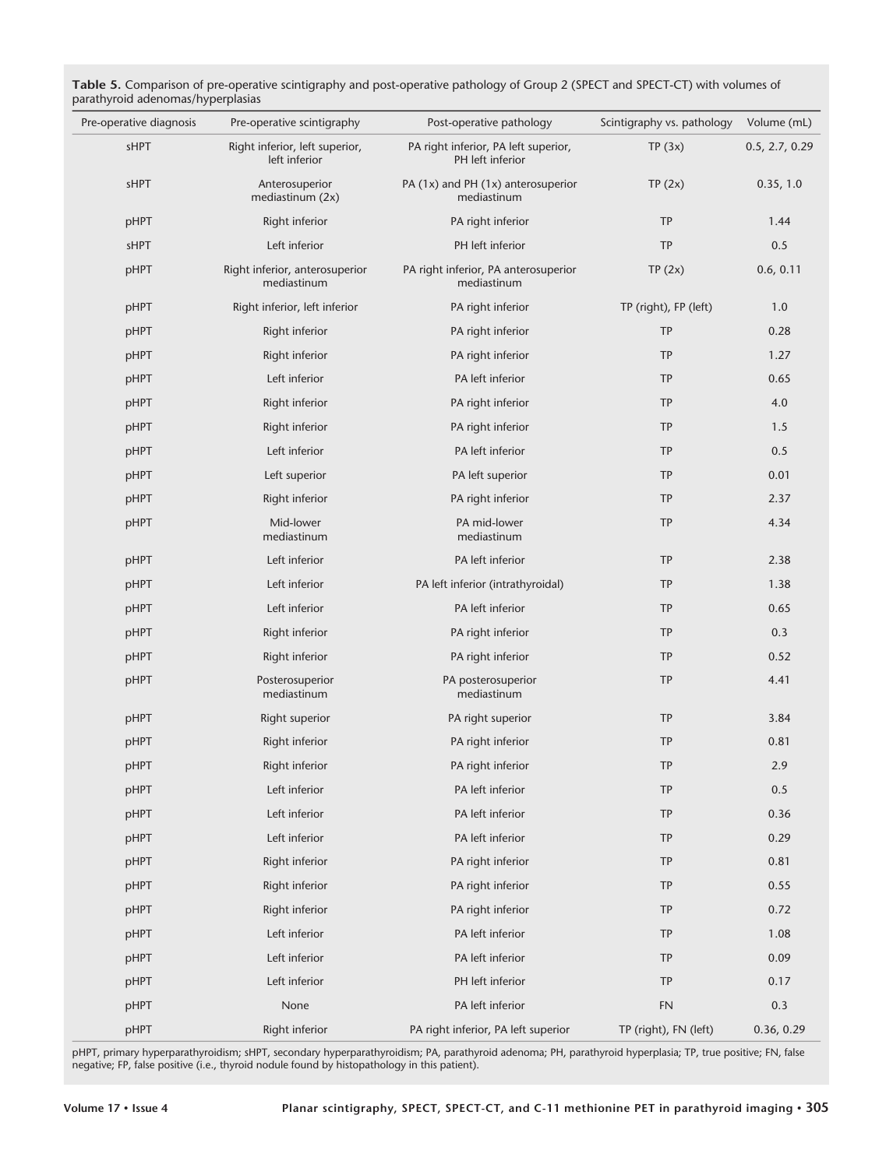| Pre-operative diagnosis | Pre-operative scintigraphy                      | Post-operative pathology                                           | Scintigraphy vs. pathology | Volume (mL)    |
|-------------------------|-------------------------------------------------|--------------------------------------------------------------------|----------------------------|----------------|
| sHPT                    | Right inferior, left superior,<br>left inferior | PA right inferior, PA left superior,<br>TP(3x)<br>PH left inferior |                            | 0.5, 2.7, 0.29 |
| sHPT                    | Anterosuperior<br>mediastinum (2x)              | PA (1x) and PH (1x) anterosuperior<br>mediastinum                  | TP(2x)                     | 0.35, 1.0      |
| pHPT                    | Right inferior                                  | PA right inferior                                                  | TP                         | 1.44           |
| <b>SHPT</b>             | Left inferior                                   | PH left inferior                                                   | TP                         | 0.5            |
| pHPT                    | Right inferior, anterosuperior<br>mediastinum   | PA right inferior, PA anterosuperior<br>mediastinum                | TP(2x)                     | 0.6, 0.11      |
| pHPT                    | Right inferior, left inferior                   | PA right inferior                                                  | TP (right), FP (left)      | 1.0            |
| pHPT                    | Right inferior                                  | PA right inferior                                                  | <b>TP</b>                  | 0.28           |
| pHPT                    | Right inferior                                  | PA right inferior                                                  | <b>TP</b>                  | 1.27           |
| pHPT                    | Left inferior                                   | PA left inferior                                                   | <b>TP</b>                  | 0.65           |
| pHPT                    | Right inferior                                  | PA right inferior                                                  | <b>TP</b>                  | 4.0            |
| pHPT                    | Right inferior                                  | PA right inferior                                                  | <b>TP</b>                  | 1.5            |
| pHPT                    | Left inferior                                   | PA left inferior                                                   | <b>TP</b>                  | 0.5            |
| pHPT                    | Left superior                                   | PA left superior                                                   | <b>TP</b>                  | 0.01           |
| pHPT                    | Right inferior                                  | PA right inferior                                                  | <b>TP</b>                  | 2.37           |
| pHPT                    | Mid-lower<br>mediastinum                        | PA mid-lower<br>mediastinum                                        | <b>TP</b>                  | 4.34           |
| pHPT                    | Left inferior                                   | PA left inferior                                                   | <b>TP</b>                  | 2.38           |
| pHPT                    | Left inferior                                   | PA left inferior (intrathyroidal)                                  | <b>TP</b>                  | 1.38           |
| pHPT                    | Left inferior                                   | PA left inferior                                                   | <b>TP</b>                  | 0.65           |
| pHPT                    | Right inferior                                  | PA right inferior                                                  | <b>TP</b>                  | 0.3            |
| pHPT                    | Right inferior                                  | PA right inferior                                                  | <b>TP</b>                  | 0.52           |
| pHPT                    | Posterosuperior<br>mediastinum                  | PA posterosuperior<br>mediastinum                                  | <b>TP</b>                  | 4.41           |
| pHPT                    | Right superior                                  | PA right superior                                                  | TP                         | 3.84           |
| pHPT                    | Right inferior                                  | PA right inferior                                                  | <b>TP</b>                  | 0.81           |
| pHPT                    | Right inferior                                  | PA right inferior                                                  | TP                         | 2.9            |
| pHPT                    | Left inferior                                   | PA left inferior                                                   | TP                         | 0.5            |
| pHPT                    | Left inferior                                   | PA left inferior                                                   | TP                         | 0.36           |
| pHPT                    | Left inferior                                   | PA left inferior                                                   | <b>TP</b>                  | 0.29           |
| pHPT                    | Right inferior                                  | PA right inferior                                                  | <b>TP</b>                  | 0.81           |
| pHPT                    | Right inferior                                  | PA right inferior                                                  | <b>TP</b>                  | 0.55           |
| pHPT                    | Right inferior                                  | PA right inferior                                                  | <b>TP</b>                  | 0.72           |
| pHPT                    | Left inferior                                   | PA left inferior                                                   | <b>TP</b>                  | 1.08           |
| pHPT                    | Left inferior                                   | PA left inferior                                                   | <b>TP</b>                  | 0.09           |
| pHPT                    | Left inferior                                   | PH left inferior                                                   | <b>TP</b>                  | 0.17           |
| pHPT                    | None                                            | PA left inferior                                                   | <b>FN</b>                  | 0.3            |
| pHPT                    | Right inferior                                  | PA right inferior, PA left superior                                | TP (right), FN (left)      | 0.36, 0.29     |

**Table 5.** Comparison of pre-operative scintigraphy and post-operative pathology of Group 2 (SPECT and SPECT-CT) with volumes of parathyroid adenomas/hyperplasias

pHPT, primary hyperparathyroidism; sHPT, secondary hyperparathyroidism; PA, parathyroid adenoma; PH, parathyroid hyperplasia; TP, true positive; FN, false negative; FP, false positive (i.e., thyroid nodule found by histopathology in this patient).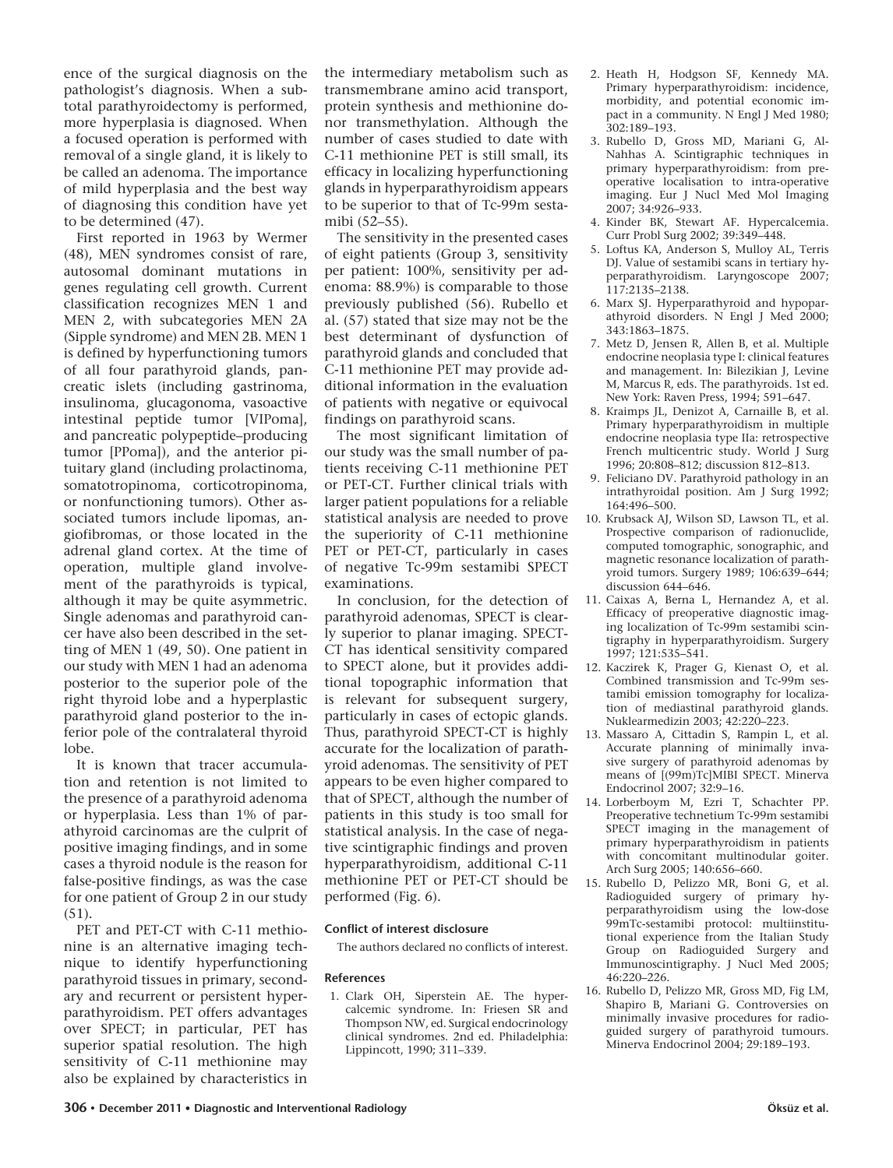ence of the surgical diagnosis on the pathologist's diagnosis. When a subtotal parathyroidectomy is performed, more hyperplasia is diagnosed. When a focused operation is performed with removal of a single gland, it is likely to be called an adenoma. The importance of mild hyperplasia and the best way of diagnosing this condition have yet to be determined (47).

First reported in 1963 by Wermer (48), MEN syndromes consist of rare, autosomal dominant mutations in genes regulating cell growth. Current classification recognizes MEN 1 and MEN 2, with subcategories MEN 2A (Sipple syndrome) and MEN 2B. MEN 1 is defined by hyperfunctioning tumors of all four parathyroid glands, pancreatic islets (including gastrinoma, insulinoma, glucagonoma, vasoactive intestinal peptide tumor [VIPoma], and pancreatic polypeptide–producing tumor [PPoma]), and the anterior pituitary gland (including prolactinoma, somatotropinoma, corticotropinoma, or nonfunctioning tumors). Other associated tumors include lipomas, angiofibromas, or those located in the adrenal gland cortex. At the time of operation, multiple gland involvement of the parathyroids is typical, although it may be quite asymmetric. Single adenomas and parathyroid cancer have also been described in the setting of MEN 1 (49, 50). One patient in our study with MEN 1 had an adenoma posterior to the superior pole of the right thyroid lobe and a hyperplastic parathyroid gland posterior to the inferior pole of the contralateral thyroid lobe.

It is known that tracer accumulation and retention is not limited to the presence of a parathyroid adenoma or hyperplasia. Less than 1% of parathyroid carcinomas are the culprit of positive imaging findings, and in some cases a thyroid nodule is the reason for false-positive findings, as was the case for one patient of Group 2 in our study (51).

PET and PET-CT with C-11 methionine is an alternative imaging technique to identify hyperfunctioning parathyroid tissues in primary, secondary and recurrent or persistent hyperparathyroidism. PET offers advantages over SPECT; in particular, PET has superior spatial resolution. The high sensitivity of C-11 methionine may also be explained by characteristics in the intermediary metabolism such as transmembrane amino acid transport, protein synthesis and methionine donor transmethylation. Although the number of cases studied to date with C-11 methionine PET is still small, its efficacy in localizing hyperfunctioning glands in hyperparathyroidism appears to be superior to that of Tc-99m sestamibi (52–55).

The sensitivity in the presented cases of eight patients (Group 3, sensitivity per patient: 100%, sensitivity per adenoma: 88.9%) is comparable to those previously published (56). Rubello et al. (57) stated that size may not be the best determinant of dysfunction of parathyroid glands and concluded that C-11 methionine PET may provide additional information in the evaluation of patients with negative or equivocal findings on parathyroid scans.

The most significant limitation of our study was the small number of patients receiving C-11 methionine PET or PET-CT. Further clinical trials with larger patient populations for a reliable statistical analysis are needed to prove the superiority of C-11 methionine PET or PET-CT, particularly in cases of negative Tc-99m sestamibi SPECT examinations.

In conclusion, for the detection of parathyroid adenomas, SPECT is clearly superior to planar imaging. SPECT-CT has identical sensitivity compared to SPECT alone, but it provides additional topographic information that is relevant for subsequent surgery, particularly in cases of ectopic glands. Thus, parathyroid SPECT-CT is highly accurate for the localization of parathyroid adenomas. The sensitivity of PET appears to be even higher compared to that of SPECT, although the number of patients in this study is too small for statistical analysis. In the case of negative scintigraphic findings and proven hyperparathyroidism, additional C-11 methionine PET or PET-CT should be performed (Fig. 6).

## **Conflict of interest disclosure**

The authors declared no conflicts of interest.

#### **References**

 1. Clark OH, Siperstein AE. The hypercalcemic syndrome. In: Friesen SR and Thompson NW, ed. Surgical endocrinology clinical syndromes. 2nd ed. Philadelphia: Lippincott, 1990; 311–339.

- 2. Heath H, Hodgson SF, Kennedy MA. Primary hyperparathyroidism: incidence, morbidity, and potential economic impact in a community. N Engl J Med 1980; 302:189–193.
- 3. Rubello D, Gross MD, Mariani G, Al-Nahhas A. Scintigraphic techniques in primary hyperparathyroidism: from preoperative localisation to intra-operative imaging. Eur J Nucl Med Mol Imaging 2007; 34:926–933.
- 4. Kinder BK, Stewart AF. Hypercalcemia. Curr Probl Surg 2002; 39:349–448.
- 5. Loftus KA, Anderson S, Mulloy AL, Terris DJ. Value of sestamibi scans in tertiary hyperparathyroidism. Laryngoscope 2007; 117:2135–2138.
- 6. Marx SJ. Hyperparathyroid and hypoparathyroid disorders. N Engl J Med 2000; 343:1863–1875.
- 7. Metz D, Jensen R, Allen B, et al. Multiple endocrine neoplasia type I: clinical features and management. In: Bilezikian J, Levine M, Marcus R, eds. The parathyroids. 1st ed. New York: Raven Press, 1994; 591–647.
- 8. Kraimps JL, Denizot A, Carnaille B, et al. Primary hyperparathyroidism in multiple endocrine neoplasia type IIa: retrospective French multicentric study. World J Surg 1996; 20:808–812; discussion 812–813.
- 9. Feliciano DV. Parathyroid pathology in an intrathyroidal position. Am J Surg 1992; 164:496–500.
- 10. Krubsack AJ, Wilson SD, Lawson TL, et al. Prospective comparison of radionuclide, computed tomographic, sonographic, and magnetic resonance localization of parathyroid tumors. Surgery 1989; 106:639–644; discussion 644–646.
- 11. Caixas A, Berna L, Hernandez A, et al. Efficacy of preoperative diagnostic imaging localization of Tc-99m sestamibi scintigraphy in hyperparathyroidism. Surgery 1997; 121:535–541.
- 12. Kaczirek K, Prager G, Kienast O, et al. Combined transmission and Tc-99m sestamibi emission tomography for localization of mediastinal parathyroid glands. Nuklearmedizin 2003; 42:220–223.
- 13. Massaro A, Cittadin S, Rampin L, et al. Accurate planning of minimally invasive surgery of parathyroid adenomas by means of [(99m)Tc]MIBI SPECT. Minerva Endocrinol 2007; 32:9–16.
- 14. Lorberboym M, Ezri T, Schachter PP. Preoperative technetium Tc-99m sestamibi SPECT imaging in the management of primary hyperparathyroidism in patients with concomitant multinodular goiter. Arch Surg 2005; 140:656–660.
- 15. Rubello D, Pelizzo MR, Boni G, et al. Radioguided surgery of primary hyperparathyroidism using the low-dose 99mTc-sestamibi protocol: multiinstitutional experience from the Italian Study Group on Radioguided Surgery and Immunoscintigraphy. J Nucl Med 2005; 46:220–226.
- 16. Rubello D, Pelizzo MR, Gross MD, Fig LM, Shapiro B, Mariani G. Controversies on minimally invasive procedures for radioguided surgery of parathyroid tumours. Minerva Endocrinol 2004; 29:189–193.